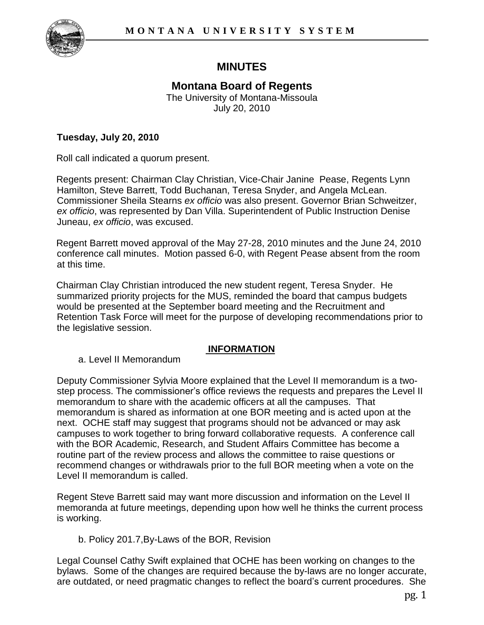

## **MINUTES**

# **Montana Board of Regents**

The University of Montana-Missoula July 20, 2010

## **Tuesday, July 20, 2010**

Roll call indicated a quorum present.

Regents present: Chairman Clay Christian, Vice-Chair Janine Pease, Regents Lynn Hamilton, Steve Barrett, Todd Buchanan, Teresa Snyder, and Angela McLean. Commissioner Sheila Stearns *ex officio* was also present. Governor Brian Schweitzer, *ex officio*, was represented by Dan Villa. Superintendent of Public Instruction Denise Juneau, *ex officio*, was excused.

Regent Barrett moved approval of the May 27-28, 2010 minutes and the June 24, 2010 conference call minutes. Motion passed 6-0, with Regent Pease absent from the room at this time.

Chairman Clay Christian introduced the new student regent, Teresa Snyder. He summarized priority projects for the MUS, reminded the board that campus budgets would be presented at the September board meeting and the Recruitment and Retention Task Force will meet for the purpose of developing recommendations prior to the legislative session.

## **INFORMATION**

a. Level II Memorandum

Deputy Commissioner Sylvia Moore explained that the Level II memorandum is a twostep process. The commissioner's office reviews the requests and prepares the Level II memorandum to share with the academic officers at all the campuses. That memorandum is shared as information at one BOR meeting and is acted upon at the next. OCHE staff may suggest that programs should not be advanced or may ask campuses to work together to bring forward collaborative requests. A conference call with the BOR Academic, Research, and Student Affairs Committee has become a routine part of the review process and allows the committee to raise questions or recommend changes or withdrawals prior to the full BOR meeting when a vote on the Level II memorandum is called.

Regent Steve Barrett said may want more discussion and information on the Level II memoranda at future meetings, depending upon how well he thinks the current process is working.

## b. Policy 201.7,By-Laws of the BOR, Revision

Legal Counsel Cathy Swift explained that OCHE has been working on changes to the bylaws. Some of the changes are required because the by-laws are no longer accurate, are outdated, or need pragmatic changes to reflect the board's current procedures. She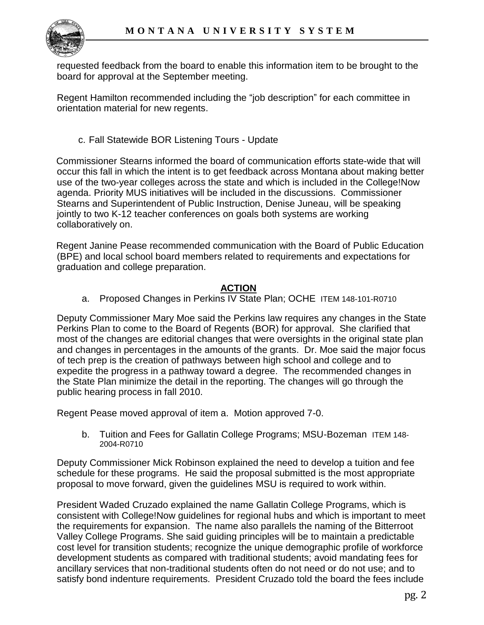

requested feedback from the board to enable this information item to be brought to the board for approval at the September meeting.

Regent Hamilton recommended including the "job description" for each committee in orientation material for new regents.

### c. Fall Statewide BOR Listening Tours - Update

Commissioner Stearns informed the board of communication efforts state-wide that will occur this fall in which the intent is to get feedback across Montana about making better use of the two-year colleges across the state and which is included in the College!Now agenda. Priority MUS initiatives will be included in the discussions. Commissioner Stearns and Superintendent of Public Instruction, Denise Juneau, will be speaking jointly to two K-12 teacher conferences on goals both systems are working collaboratively on.

Regent Janine Pease recommended communication with the Board of Public Education (BPE) and local school board members related to requirements and expectations for graduation and college preparation.

#### **ACTION**

a. Proposed Changes in Perkins IV State Plan; OCHE ITEM 148-101-R0710

Deputy Commissioner Mary Moe said the Perkins law requires any changes in the State Perkins Plan to come to the Board of Regents (BOR) for approval. She clarified that most of the changes are editorial changes that were oversights in the original state plan and changes in percentages in the amounts of the grants. Dr. Moe said the major focus of tech prep is the creation of pathways between high school and college and to expedite the progress in a pathway toward a degree. The recommended changes in the State Plan minimize the detail in the reporting. The changes will go through the public hearing process in fall 2010.

Regent Pease moved approval of item a. Motion approved 7-0.

b. Tuition and Fees for Gallatin College Programs; MSU-Bozeman ITEM 148-2004-R0710

Deputy Commissioner Mick Robinson explained the need to develop a tuition and fee schedule for these programs. He said the proposal submitted is the most appropriate proposal to move forward, given the guidelines MSU is required to work within.

President Waded Cruzado explained the name Gallatin College Programs, which is consistent with College!Now guidelines for regional hubs and which is important to meet the requirements for expansion. The name also parallels the naming of the Bitterroot Valley College Programs. She said guiding principles will be to maintain a predictable cost level for transition students; recognize the unique demographic profile of workforce development students as compared with traditional students; avoid mandating fees for ancillary services that non-traditional students often do not need or do not use; and to satisfy bond indenture requirements. President Cruzado told the board the fees include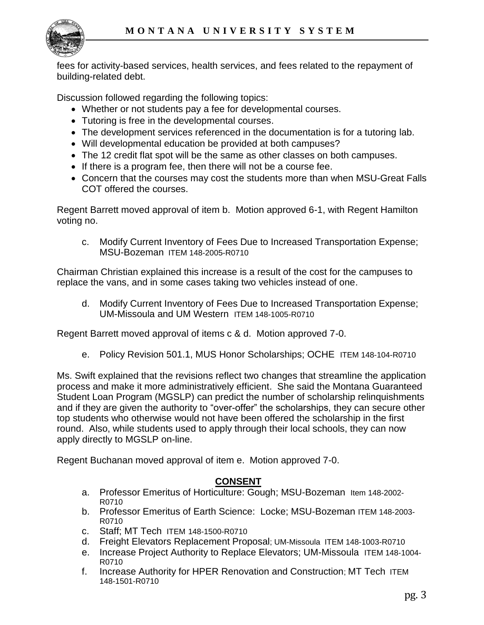

fees for activity-based services, health services, and fees related to the repayment of building-related debt.

Discussion followed regarding the following topics:

- Whether or not students pay a fee for developmental courses.
- Tutoring is free in the developmental courses.
- The development services referenced in the documentation is for a tutoring lab.
- Will developmental education be provided at both campuses?
- The 12 credit flat spot will be the same as other classes on both campuses.
- If there is a program fee, then there will not be a course fee.
- Concern that the courses may cost the students more than when MSU-Great Falls COT offered the courses.

Regent Barrett moved approval of item b. Motion approved 6-1, with Regent Hamilton voting no.

c. Modify Current Inventory of Fees Due to Increased Transportation Expense; MSU-Bozeman ITEM 148-2005-R0710

Chairman Christian explained this increase is a result of the cost for the campuses to replace the vans, and in some cases taking two vehicles instead of one.

d. Modify Current Inventory of Fees Due to Increased Transportation Expense; UM-Missoula and UM Western ITEM 148-1005-R0710

Regent Barrett moved approval of items c & d. Motion approved 7-0.

e. Policy Revision 501.1, MUS Honor Scholarships; OCHE ITEM 148-104-R0710

Ms. Swift explained that the revisions reflect two changes that streamline the application process and make it more administratively efficient. She said the Montana Guaranteed Student Loan Program (MGSLP) can predict the number of scholarship relinquishments and if they are given the authority to "over-offer" the scholarships, they can secure other top students who otherwise would not have been offered the scholarship in the first round. Also, while students used to apply through their local schools, they can now apply directly to MGSLP on-line.

Regent Buchanan moved approval of item e. Motion approved 7-0.

#### **CONSENT**

- a. Professor Emeritus of Horticulture: Gough; MSU-Bozeman Item 148-2002- R0710
- b. Professor Emeritus of Earth Science: Locke; MSU-Bozeman ITEM 148-2003- R0710
- c. Staff; MT Tech ITEM 148-1500-R0710
- d. Freight Elevators Replacement Proposal; UM-Missoula ITEM 148-1003-R0710
- e. Increase Project Authority to Replace Elevators; UM-Missoula ITEM 148-1004- R0710
- f. Increase Authority for HPER Renovation and Construction; MT Tech ITEM 148-1501-R0710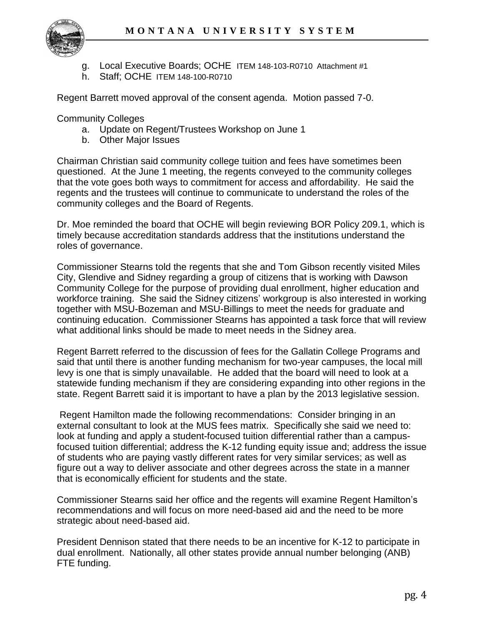

- g. Local Executive Boards; OCHE ITEM 148-103-R0710 Attachment #1
- h. Staff; OCHE ITEM 148-100-R0710

Regent Barrett moved approval of the consent agenda. Motion passed 7-0.

Community Colleges

- a. Update on Regent/Trustees Workshop on June 1
- b. Other Major Issues

Chairman Christian said community college tuition and fees have sometimes been questioned. At the June 1 meeting, the regents conveyed to the community colleges that the vote goes both ways to commitment for access and affordability. He said the regents and the trustees will continue to communicate to understand the roles of the community colleges and the Board of Regents.

Dr. Moe reminded the board that OCHE will begin reviewing BOR Policy 209.1, which is timely because accreditation standards address that the institutions understand the roles of governance.

Commissioner Stearns told the regents that she and Tom Gibson recently visited Miles City, Glendive and Sidney regarding a group of citizens that is working with Dawson Community College for the purpose of providing dual enrollment, higher education and workforce training. She said the Sidney citizens' workgroup is also interested in working together with MSU-Bozeman and MSU-Billings to meet the needs for graduate and continuing education. Commissioner Stearns has appointed a task force that will review what additional links should be made to meet needs in the Sidney area.

Regent Barrett referred to the discussion of fees for the Gallatin College Programs and said that until there is another funding mechanism for two-year campuses, the local mill levy is one that is simply unavailable. He added that the board will need to look at a statewide funding mechanism if they are considering expanding into other regions in the state. Regent Barrett said it is important to have a plan by the 2013 legislative session.

Regent Hamilton made the following recommendations: Consider bringing in an external consultant to look at the MUS fees matrix. Specifically she said we need to: look at funding and apply a student-focused tuition differential rather than a campusfocused tuition differential; address the K-12 funding equity issue and; address the issue of students who are paying vastly different rates for very similar services; as well as figure out a way to deliver associate and other degrees across the state in a manner that is economically efficient for students and the state.

Commissioner Stearns said her office and the regents will examine Regent Hamilton's recommendations and will focus on more need-based aid and the need to be more strategic about need-based aid.

President Dennison stated that there needs to be an incentive for K-12 to participate in dual enrollment. Nationally, all other states provide annual number belonging (ANB) FTE funding.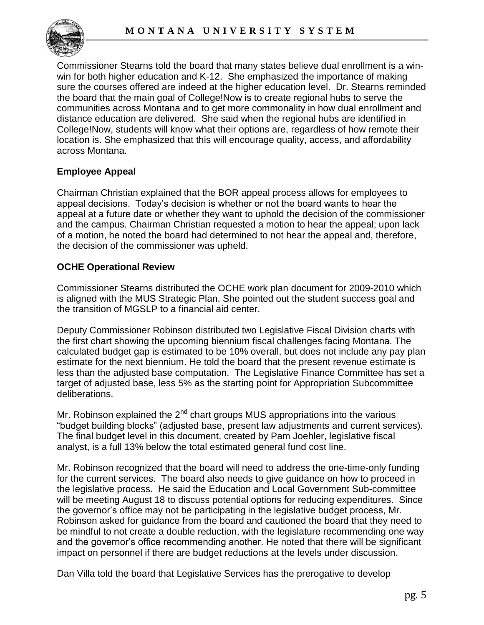

Commissioner Stearns told the board that many states believe dual enrollment is a winwin for both higher education and K-12. She emphasized the importance of making sure the courses offered are indeed at the higher education level. Dr. Stearns reminded the board that the main goal of College!Now is to create regional hubs to serve the communities across Montana and to get more commonality in how dual enrollment and distance education are delivered. She said when the regional hubs are identified in College!Now, students will know what their options are, regardless of how remote their location is. She emphasized that this will encourage quality, access, and affordability across Montana.

## **Employee Appeal**

Chairman Christian explained that the BOR appeal process allows for employees to appeal decisions. Today's decision is whether or not the board wants to hear the appeal at a future date or whether they want to uphold the decision of the commissioner and the campus. Chairman Christian requested a motion to hear the appeal; upon lack of a motion, he noted the board had determined to not hear the appeal and, therefore, the decision of the commissioner was upheld.

#### **OCHE Operational Review**

Commissioner Stearns distributed the OCHE work plan document for 2009-2010 which is aligned with the MUS Strategic Plan. She pointed out the student success goal and the transition of MGSLP to a financial aid center.

Deputy Commissioner Robinson distributed two Legislative Fiscal Division charts with the first chart showing the upcoming biennium fiscal challenges facing Montana. The calculated budget gap is estimated to be 10% overall, but does not include any pay plan estimate for the next biennium. He told the board that the present revenue estimate is less than the adjusted base computation. The Legislative Finance Committee has set a target of adjusted base, less 5% as the starting point for Appropriation Subcommittee deliberations.

Mr. Robinson explained the  $2^{nd}$  chart groups MUS appropriations into the various "budget building blocks" (adjusted base, present law adjustments and current services). The final budget level in this document, created by Pam Joehler, legislative fiscal analyst, is a full 13% below the total estimated general fund cost line.

Mr. Robinson recognized that the board will need to address the one-time-only funding for the current services. The board also needs to give guidance on how to proceed in the legislative process. He said the Education and Local Government Sub-committee will be meeting August 18 to discuss potential options for reducing expenditures. Since the governor's office may not be participating in the legislative budget process, Mr. Robinson asked for guidance from the board and cautioned the board that they need to be mindful to not create a double reduction, with the legislature recommending one way and the governor's office recommending another. He noted that there will be significant impact on personnel if there are budget reductions at the levels under discussion.

Dan Villa told the board that Legislative Services has the prerogative to develop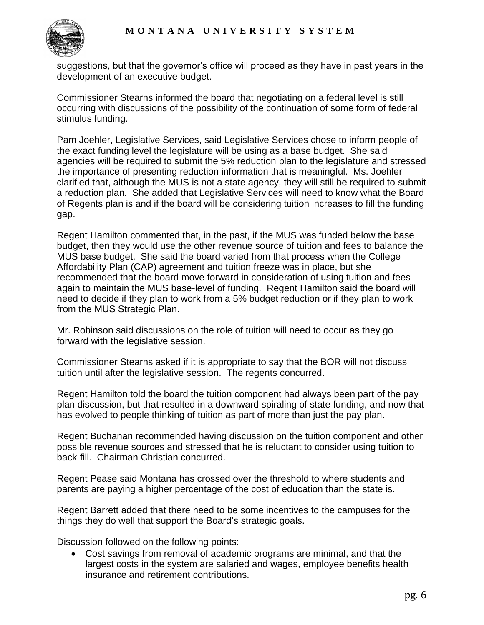

suggestions, but that the governor's office will proceed as they have in past years in the development of an executive budget.

Commissioner Stearns informed the board that negotiating on a federal level is still occurring with discussions of the possibility of the continuation of some form of federal stimulus funding.

Pam Joehler, Legislative Services, said Legislative Services chose to inform people of the exact funding level the legislature will be using as a base budget. She said agencies will be required to submit the 5% reduction plan to the legislature and stressed the importance of presenting reduction information that is meaningful. Ms. Joehler clarified that, although the MUS is not a state agency, they will still be required to submit a reduction plan. She added that Legislative Services will need to know what the Board of Regents plan is and if the board will be considering tuition increases to fill the funding gap.

Regent Hamilton commented that, in the past, if the MUS was funded below the base budget, then they would use the other revenue source of tuition and fees to balance the MUS base budget. She said the board varied from that process when the College Affordability Plan (CAP) agreement and tuition freeze was in place, but she recommended that the board move forward in consideration of using tuition and fees again to maintain the MUS base-level of funding. Regent Hamilton said the board will need to decide if they plan to work from a 5% budget reduction or if they plan to work from the MUS Strategic Plan.

Mr. Robinson said discussions on the role of tuition will need to occur as they go forward with the legislative session.

Commissioner Stearns asked if it is appropriate to say that the BOR will not discuss tuition until after the legislative session. The regents concurred.

Regent Hamilton told the board the tuition component had always been part of the pay plan discussion, but that resulted in a downward spiraling of state funding, and now that has evolved to people thinking of tuition as part of more than just the pay plan.

Regent Buchanan recommended having discussion on the tuition component and other possible revenue sources and stressed that he is reluctant to consider using tuition to back-fill. Chairman Christian concurred.

Regent Pease said Montana has crossed over the threshold to where students and parents are paying a higher percentage of the cost of education than the state is.

Regent Barrett added that there need to be some incentives to the campuses for the things they do well that support the Board's strategic goals.

Discussion followed on the following points:

 Cost savings from removal of academic programs are minimal, and that the largest costs in the system are salaried and wages, employee benefits health insurance and retirement contributions.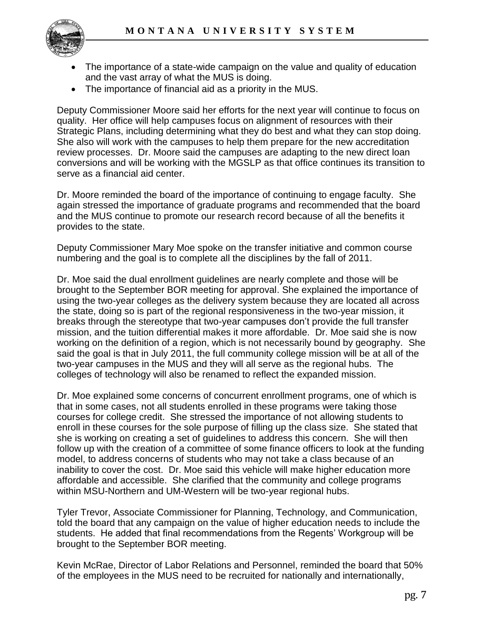

- The importance of a state-wide campaign on the value and quality of education and the vast array of what the MUS is doing.
- The importance of financial aid as a priority in the MUS.

Deputy Commissioner Moore said her efforts for the next year will continue to focus on quality. Her office will help campuses focus on alignment of resources with their Strategic Plans, including determining what they do best and what they can stop doing. She also will work with the campuses to help them prepare for the new accreditation review processes. Dr. Moore said the campuses are adapting to the new direct loan conversions and will be working with the MGSLP as that office continues its transition to serve as a financial aid center.

Dr. Moore reminded the board of the importance of continuing to engage faculty. She again stressed the importance of graduate programs and recommended that the board and the MUS continue to promote our research record because of all the benefits it provides to the state.

Deputy Commissioner Mary Moe spoke on the transfer initiative and common course numbering and the goal is to complete all the disciplines by the fall of 2011.

Dr. Moe said the dual enrollment guidelines are nearly complete and those will be brought to the September BOR meeting for approval. She explained the importance of using the two-year colleges as the delivery system because they are located all across the state, doing so is part of the regional responsiveness in the two-year mission, it breaks through the stereotype that two-year campuses don't provide the full transfer mission, and the tuition differential makes it more affordable. Dr. Moe said she is now working on the definition of a region, which is not necessarily bound by geography. She said the goal is that in July 2011, the full community college mission will be at all of the two-year campuses in the MUS and they will all serve as the regional hubs. The colleges of technology will also be renamed to reflect the expanded mission.

Dr. Moe explained some concerns of concurrent enrollment programs, one of which is that in some cases, not all students enrolled in these programs were taking those courses for college credit. She stressed the importance of not allowing students to enroll in these courses for the sole purpose of filling up the class size. She stated that she is working on creating a set of guidelines to address this concern. She will then follow up with the creation of a committee of some finance officers to look at the funding model, to address concerns of students who may not take a class because of an inability to cover the cost. Dr. Moe said this vehicle will make higher education more affordable and accessible. She clarified that the community and college programs within MSU-Northern and UM-Western will be two-year regional hubs.

Tyler Trevor, Associate Commissioner for Planning, Technology, and Communication, told the board that any campaign on the value of higher education needs to include the students. He added that final recommendations from the Regents' Workgroup will be brought to the September BOR meeting.

Kevin McRae, Director of Labor Relations and Personnel, reminded the board that 50% of the employees in the MUS need to be recruited for nationally and internationally,